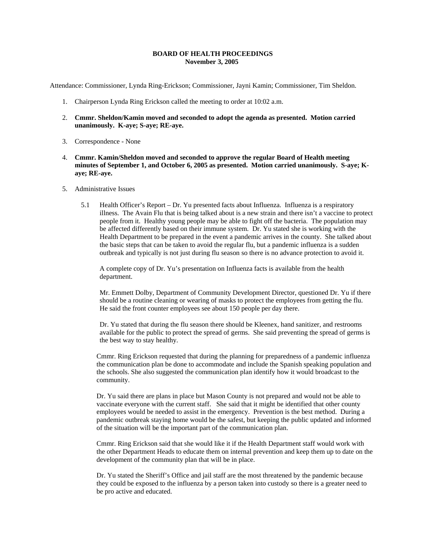#### **BOARD OF HEALTH PROCEEDINGS November 3, 2005**

Attendance: Commissioner, Lynda Ring-Erickson; Commissioner, Jayni Kamin; Commissioner, Tim Sheldon.

- 1. Chairperson Lynda Ring Erickson called the meeting to order at 10:02 a.m.
- 2. **Cmmr. Sheldon/Kamin moved and seconded to adopt the agenda as presented. Motion carried unanimously. K-aye; S-aye; RE-aye.**
- 3. Correspondence None
- 4. **Cmmr. Kamin/Sheldon moved and seconded to approve the regular Board of Health meeting minutes of September 1, and October 6, 2005 as presented. Motion carried unanimously. S-aye; Kaye; RE-aye.**
- 5. Administrative Issues
	- 5.1 Health Officer's Report Dr. Yu presented facts about Influenza. Influenza is a respiratory illness. The Avain Flu that is being talked about is a new strain and there isn't a vaccine to protect people from it. Healthy young people may be able to fight off the bacteria. The population may be affected differently based on their immune system. Dr. Yu stated she is working with the Health Department to be prepared in the event a pandemic arrives in the county. She talked about the basic steps that can be taken to avoid the regular flu, but a pandemic influenza is a sudden outbreak and typically is not just during flu season so there is no advance protection to avoid it.

A complete copy of Dr. Yu's presentation on Influenza facts is available from the health department.

Mr. Emmett Dolby, Department of Community Development Director, questioned Dr. Yu if there should be a routine cleaning or wearing of masks to protect the employees from getting the flu. He said the front counter employees see about 150 people per day there.

Dr. Yu stated that during the flu season there should be Kleenex, hand sanitizer, and restrooms available for the public to protect the spread of germs. She said preventing the spread of germs is the best way to stay healthy.

Cmmr. Ring Erickson requested that during the planning for preparedness of a pandemic influenza the communication plan be done to accommodate and include the Spanish speaking population and the schools. She also suggested the communication plan identify how it would broadcast to the community.

Dr. Yu said there are plans in place but Mason County is not prepared and would not be able to vaccinate everyone with the current staff. She said that it might be identified that other county employees would be needed to assist in the emergency. Prevention is the best method. During a pandemic outbreak staying home would be the safest, but keeping the public updated and informed of the situation will be the important part of the communication plan.

Cmmr. Ring Erickson said that she would like it if the Health Department staff would work with the other Department Heads to educate them on internal prevention and keep them up to date on the development of the community plan that will be in place.

Dr. Yu stated the Sheriff's Office and jail staff are the most threatened by the pandemic because they could be exposed to the influenza by a person taken into custody so there is a greater need to be pro active and educated.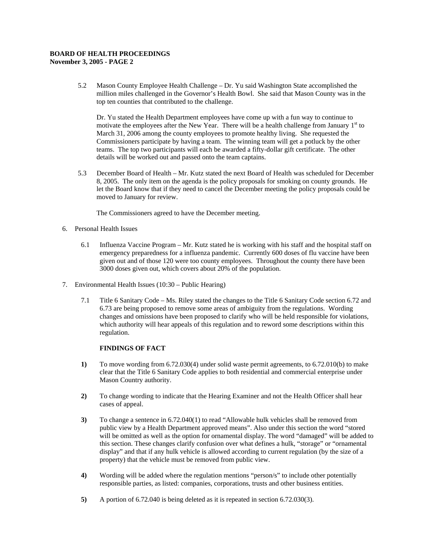# **BOARD OF HEALTH PROCEEDINGS**

**November 3, 2005 - PAGE 2** 

5.2 Mason County Employee Health Challenge – Dr. Yu said Washington State accomplished the million miles challenged in the Governor's Health Bowl. She said that Mason County was in the top ten counties that contributed to the challenge.

Dr. Yu stated the Health Department employees have come up with a fun way to continue to motivate the employees after the New Year. There will be a health challenge from January 1<sup>st</sup> to March 31, 2006 among the county employees to promote healthy living. She requested the Commissioners participate by having a team. The winning team will get a potluck by the other teams. The top two participants will each be awarded a fifty-dollar gift certificate. The other details will be worked out and passed onto the team captains.

5.3 December Board of Health – Mr. Kutz stated the next Board of Health was scheduled for December 8, 2005. The only item on the agenda is the policy proposals for smoking on county grounds. He let the Board know that if they need to cancel the December meeting the policy proposals could be moved to January for review.

The Commissioners agreed to have the December meeting.

- 6. Personal Health Issues
	- 6.1 Influenza Vaccine Program Mr. Kutz stated he is working with his staff and the hospital staff on emergency preparedness for a influenza pandemic. Currently 600 doses of flu vaccine have been given out and of those 120 were too county employees. Throughout the county there have been 3000 doses given out, which covers about 20% of the population.
- 7. Environmental Health Issues (10:30 Public Hearing)
	- 7.1 Title 6 Sanitary Code Ms. Riley stated the changes to the Title 6 Sanitary Code section 6.72 and 6.73 are being proposed to remove some areas of ambiguity from the regulations. Wording changes and omissions have been proposed to clarify who will be held responsible for violations, which authority will hear appeals of this regulation and to reword some descriptions within this regulation.

### **FINDINGS OF FACT**

- **1)** To move wording from 6.72.030(4) under solid waste permit agreements, to 6.72.010(b) to make clear that the Title 6 Sanitary Code applies to both residential and commercial enterprise under Mason Country authority.
- **2)** To change wording to indicate that the Hearing Examiner and not the Health Officer shall hear cases of appeal.
- **3)** To change a sentence in 6.72.040(1) to read "Allowable hulk vehicles shall be removed from public view by a Health Department approved means". Also under this section the word "stored will be omitted as well as the option for ornamental display. The word "damaged" will be added to this section. These changes clarify confusion over what defines a hulk, "storage" or "ornamental display" and that if any hulk vehicle is allowed according to current regulation (by the size of a property) that the vehicle must be removed from public view.
- **4)** Wording will be added where the regulation mentions "person/s" to include other potentially responsible parties, as listed: companies, corporations, trusts and other business entities.
- **5)** A portion of 6.72.040 is being deleted as it is repeated in section 6.72.030(3).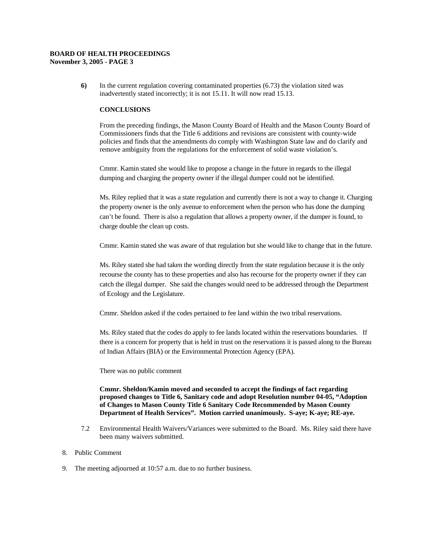## **BOARD OF HEALTH PROCEEDINGS**

**November 3, 2005 - PAGE 3** 

**6)** In the current regulation covering contaminated properties (6.73) the violation sited was inadvertently stated incorrectly; it is not 15.11. It will now read 15.13.

### **CONCLUSIONS**

From the preceding findings, the Mason County Board of Health and the Mason County Board of Commissioners finds that the Title 6 additions and revisions are consistent with county-wide policies and finds that the amendments do comply with Washington State law and do clarify and remove ambiguity from the regulations for the enforcement of solid waste violation's.

Cmmr. Kamin stated she would like to propose a change in the future in regards to the illegal dumping and charging the property owner if the illegal dumper could not be identified.

Ms. Riley replied that it was a state regulation and currently there is not a way to change it. Charging the property owner is the only avenue to enforcement when the person who has done the dumping can't be found. There is also a regulation that allows a property owner, if the dumper is found, to charge double the clean up costs.

Cmmr. Kamin stated she was aware of that regulation but she would like to change that in the future.

Ms. Riley stated she had taken the wording directly from the state regulation because it is the only recourse the county has to these properties and also has recourse for the property owner if they can catch the illegal dumper. She said the changes would need to be addressed through the Department of Ecology and the Legislature.

Cmmr. Sheldon asked if the codes pertained to fee land within the two tribal reservations.

Ms. Riley stated that the codes do apply to fee lands located within the reservations boundaries. If there is a concern for property that is held in trust on the reservations it is passed along to the Bureau of Indian Affairs (BIA) or the Environmental Protection Agency (EPA).

There was no public comment

**Cmmr. Sheldon/Kamin moved and seconded to accept the findings of fact regarding proposed changes to Title 6, Sanitary code and adopt Resolution number 04-05, "Adoption of Changes to Mason County Title 6 Sanitary Code Recommended by Mason County Department of Health Services". Motion carried unanimously. S-aye; K-aye; RE-aye.** 

- 7.2 Environmental Health Waivers/Variances were submitted to the Board. Ms. Riley said there have been many waivers submitted.
- 8. Public Comment
- 9. The meeting adjourned at 10:57 a.m. due to no further business.